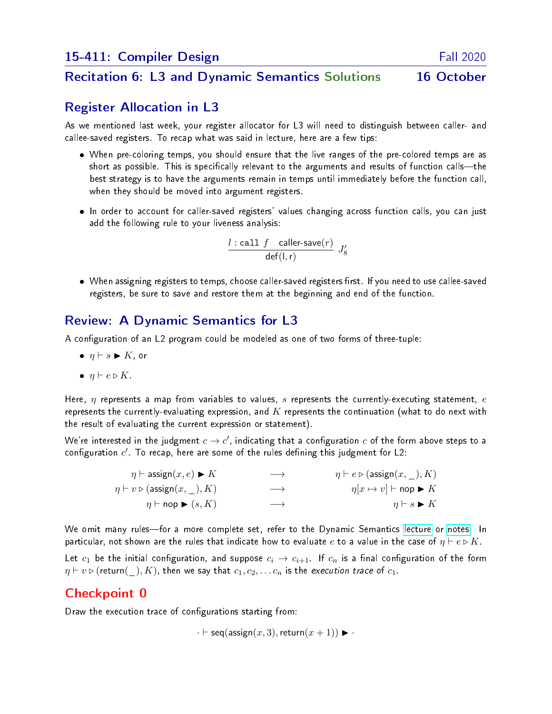#### Recitation 6: L3 and Dynamic Semantics Solutions 16 October

## Register Allocation in L3

As we mentioned last week, your register allocator for L3 will need to distinguish between caller- and callee-saved registers. To recap what was said in lecture, here are a few tips:

- When pre-coloring temps, you should ensure that the live ranges of the pre-colored temps are as short as possible. This is specifically relevant to the arguments and results of function calls—the best strategy is to have the arguments remain in temps until immediately before the function call, when they should be moved into argument registers.
- In order to account for caller-saved registers' values changing across function calls, you can just add the following rule to your liveness analysis:

$$
\frac{l: \text{call } f \text{ caller-save}(r)}{\text{def}(l, r)} J_8'
$$

 $\bullet\;$  When assigning registers to temps, choose caller-saved registers first. If you need to use callee-saved registers, be sure to save and restore them at the beginning and end of the function.

## Review: A Dynamic Semantics for L3

A configuration of an L2 program could be modeled as one of two forms of three-tuple:

- $\bullet$   $\eta \vdash s \blacktriangleright K$ , or
- $\bullet$   $\eta \vdash e \triangleright K$ .

Here,  $\eta$  represents a map from variables to values,  $s$  represents the currently-executing statement,  $e$ represents the currently-evaluating expression, and  $K$  represents the continuation (what to do next with the result of evaluating the current expression or statement).

We're interested in the judgment  $c \to c'$ , indicating that a configuration  $c$  of the form above steps to a configuration  $c^\prime$ . To recap, here are some of the rules defining this judgment for L2:

| $\eta \vdash \mathsf{assign}(x, e) \blacktriangleright K$ | $\longrightarrow$ | $\eta \vdash e \triangleright (\text{assign}(x, \cdot), K)$   |
|-----------------------------------------------------------|-------------------|---------------------------------------------------------------|
| $\eta \vdash v \triangleright (\text{assign}(x, \_), K)$  | $\longrightarrow$ | $\eta[x \mapsto v] \vdash \mathsf{nop} \blacktriangleright K$ |
| $\eta \vdash \mathsf{nop} \blacktriangleright (s, K)$     | $\longrightarrow$ | $\eta \vdash s \blacktriangleright K$                         |

We omit many rules—for a more complete set, refer to the Dynamic Semantics [lecture](http://www.cs.cmu.edu/afs/cs/academic/class/15411-f20/www/lec/13-dynamic-sem.pdf) or [notes.](http://www.cs.cmu.edu/afs/cs/academic/class/15411-f20/www/lec/13-dynamic-notes.pdf) In particular, not shown are the rules that indicate how to evaluate e to a value in the case of  $\eta \vdash e \triangleright K$ .

Let  $c_1$  be the initial configuration, and suppose  $c_i \to c_{i+1}$ . If  $c_n$  is a final configuration of the form  $\eta \vdash v \triangleright$  (return(\_), K), then we say that  $c_1, c_2, \ldots c_n$  is the execution trace of  $c_1$ .

## Checkpoint 0

Draw the execution trace of configurations starting from:

$$
\cdot \vdash \mathsf{seq}(\mathsf{assign}(x, 3), \mathsf{return}(x + 1)) \blacktriangleright \cdot
$$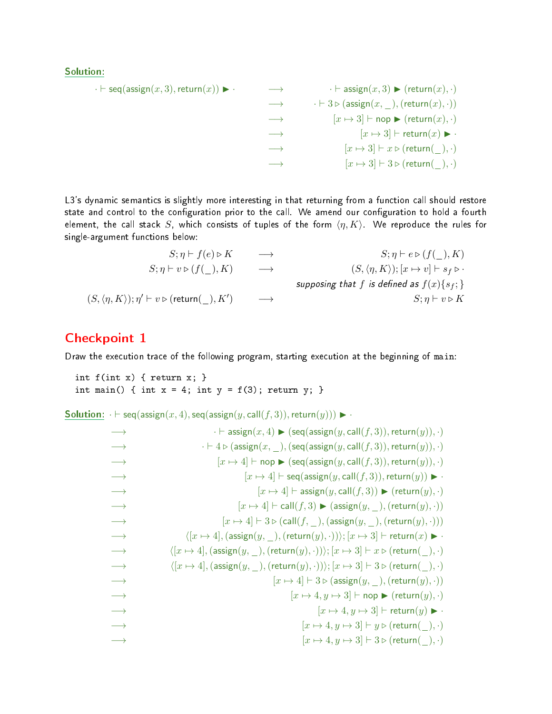#### Solution:

$$
\begin{array}{cccc}\n\cdot \vdash \mathsf{seq}(\mathsf{assign}(x,3),\mathsf{return}(x)) &\blacktriangleright & \cdots & \rightarrow & \cdot \vdash \mathsf{assign}(x,3) \blacktriangleright (\mathsf{return}(x),\cdot) \\
&\longrightarrow & \cdot \vdash 3 \triangleright (\mathsf{assign}(x,\_\_\),(\mathsf{return}(x),\cdot)) \\
&\longrightarrow & [x \mapsto 3] \vdash \mathsf{nop} \blacktriangleright (\mathsf{return}(x),\cdot) \\
&\longrightarrow & [x \mapsto 3] \vdash \mathsf{return}(x) \blacktriangleright & \cdot \\
&\longrightarrow & [x \mapsto 3] \vdash x \triangleright (\mathsf{return}(\_\_\),\cdot) \\
&\longrightarrow & [x \mapsto 3] \vdash 3 \triangleright (\mathsf{return}(\_\_\),\cdot)\n\end{array}
$$

L3's dynamic semantics is slightly more interesting in that returning from a function call should restore state and control to the configuration prior to the call. We amend our configuration to hold a fourth element, the call stack S, which consists of tuples of the form  $\langle \eta, K \rangle$ . We reproduce the rules for single-argument functions below:

$$
S; \eta \vdash f(e) \triangleright K \longrightarrow S; \eta \vdash e \triangleright (f(\_) , K)
$$
  
\n
$$
S; \eta \vdash v \triangleright (f(\_) , K) \longrightarrow (S, \langle \eta, K \rangle); [x \mapsto v] \vdash s_f \triangleright \cdot
$$
  
\n
$$
(S, \langle \eta, K \rangle); \eta' \vdash v \triangleright (\text{return}(\_) , K') \longrightarrow
$$
  
\n
$$
S; \eta \vdash v \triangleright (S, \langle \eta, K \rangle); [x \mapsto v] \vdash s_f \triangleright \cdot
$$
  
\n
$$
S; \eta \vdash v \triangleright K
$$

#### Checkpoint 1

Draw the execution trace of the following program, starting execution at the beginning of main:

```
int f(int x) { return x; }
int main() { int x = 4; int y = f(3); return y; }
```

```
Solution: \cdot \vdash \text{seq}(\text{assign}(x, 4), \text{seq}(\text{assign}(y, \text{call}(f, 3)), \text{return}(y))) \blacktriangleright \cdot
```

```
\cdot \vdash \mathsf{assign}(x, 4) \blacktriangleright (\mathsf{seq}(\mathsf{assign}(y, \mathsf{call}(f, 3)), \mathsf{return}(y)), \cdot)−→ · ` 4 . (assign(x, _),(seq(assign(y, call(f, 3)),return(y)), ·)
\rightarrow [x \mapsto 4] \vdash nop \triangleright (seq(assign(y, call(f, 3)), return(y)), ·)
\rightarrow [x \mapsto 4] \vdash \mathsf{seq}(\mathsf{assign}(y, \mathsf{call}(f, 3)), \mathsf{return}(y)) \blacktriangleright \cdot\rightarrow [x \mapsto 4] \vdash assign(y, \text{call}(f, 3)) \triangleright (return(y), \cdot)
\rightarrow [x \mapsto 4] \vdash \text{call}(f, 3) \blacktriangleright (\text{assign}(y, \cdot),(\text{return}(y), \cdot))\rightarrow [x \mapsto 4] \vdash 3 \triangleright (call(f, ,), (assign(y, ,), (return(y), \cdot)))\rightarrow \langle [x \mapsto 4], (\text{assign}(y, \cdot), (\text{return}(y), \cdot)) \rangle; [x \mapsto 3] \vdash \text{return}(x) \triangleright\rightarrow \langle [x \mapsto 4], (\text{assign}(y, \cdot), (\text{return}(y), \cdot)) \rangle; [x \mapsto 3] \vdash x \triangleright (\text{return}(\cdot), \cdot)\rightarrow \langle [x \mapsto 4], (\text{assign}(y, \cdot), (\text{return}(y), \cdot)) \rangle; [x \mapsto 3] \vdash 3 \triangleright (\text{return}(\cdot), \cdot)\rightarrow [x \mapsto 4] \vdash 3 \triangleright (\text{assign}(y, \_),(\text{return}(y), \cdot))\rightarrow [x \mapsto 4, y \mapsto 3] \vdash \mathsf{nop} \blacktriangleright (\mathsf{return}(y), \cdot)\rightarrow [x \mapsto 4, y \mapsto 3] \vdash return(y) \triangleright ·
\longrightarrow [x \mapsto 4, y \mapsto 3] \vdash y \triangleright (\textsf{return}(\_) , \cdot)[x \mapsto 4, y \mapsto 3] \vdash 3 \triangleright (return(_), ·)
```